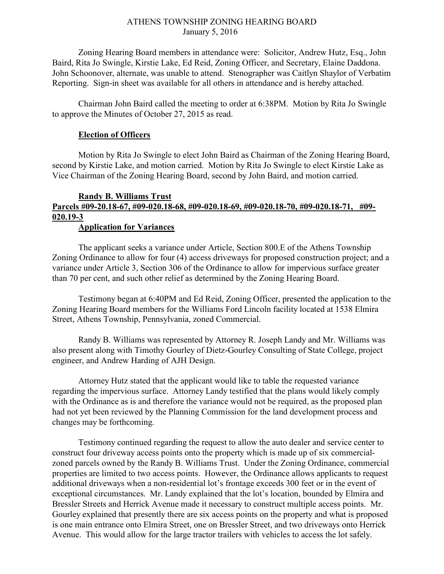## ATHENS TOWNSHIP ZONING HEARING BOARD January 5, 2016

Zoning Hearing Board members in attendance were: Solicitor, Andrew Hutz, Esq., John Baird, Rita Jo Swingle, Kirstie Lake, Ed Reid, Zoning Officer, and Secretary, Elaine Daddona. John Schoonover, alternate, was unable to attend. Stenographer was Caitlyn Shaylor of Verbatim Reporting. Sign-in sheet was available for all others in attendance and is hereby attached.

Chairman John Baird called the meeting to order at 6:38PM. Motion by Rita Jo Swingle to approve the Minutes of October 27, 2015 as read.

## Election of Officers

Motion by Rita Jo Swingle to elect John Baird as Chairman of the Zoning Hearing Board, second by Kirstie Lake, and motion carried. Motion by Rita Jo Swingle to elect Kirstie Lake as Vice Chairman of the Zoning Hearing Board, second by John Baird, and motion carried.

## Randy B. Williams Trust Parcels #09-20.18-67, #09-020.18-68, #09-020.18-69, #09-020.18-70, #09-020.18-71, #09- 020.19-3 Application for Variances

 The applicant seeks a variance under Article, Section 800.E of the Athens Township Zoning Ordinance to allow for four (4) access driveways for proposed construction project; and a variance under Article 3, Section 306 of the Ordinance to allow for impervious surface greater than 70 per cent, and such other relief as determined by the Zoning Hearing Board.

 Testimony began at 6:40PM and Ed Reid, Zoning Officer, presented the application to the Zoning Hearing Board members for the Williams Ford Lincoln facility located at 1538 Elmira Street, Athens Township, Pennsylvania, zoned Commercial.

Randy B. Williams was represented by Attorney R. Joseph Landy and Mr. Williams was also present along with Timothy Gourley of Dietz-Gourley Consulting of State College, project engineer, and Andrew Harding of AJH Design.

Attorney Hutz stated that the applicant would like to table the requested variance regarding the impervious surface. Attorney Landy testified that the plans would likely comply with the Ordinance as is and therefore the variance would not be required, as the proposed plan had not yet been reviewed by the Planning Commission for the land development process and changes may be forthcoming.

Testimony continued regarding the request to allow the auto dealer and service center to construct four driveway access points onto the property which is made up of six commercialzoned parcels owned by the Randy B. Williams Trust. Under the Zoning Ordinance, commercial properties are limited to two access points. However, the Ordinance allows applicants to request additional driveways when a non-residential lot's frontage exceeds 300 feet or in the event of exceptional circumstances. Mr. Landy explained that the lot's location, bounded by Elmira and Bressler Streets and Herrick Avenue made it necessary to construct multiple access points. Mr. Gourley explained that presently there are six access points on the property and what is proposed is one main entrance onto Elmira Street, one on Bressler Street, and two driveways onto Herrick Avenue. This would allow for the large tractor trailers with vehicles to access the lot safely.